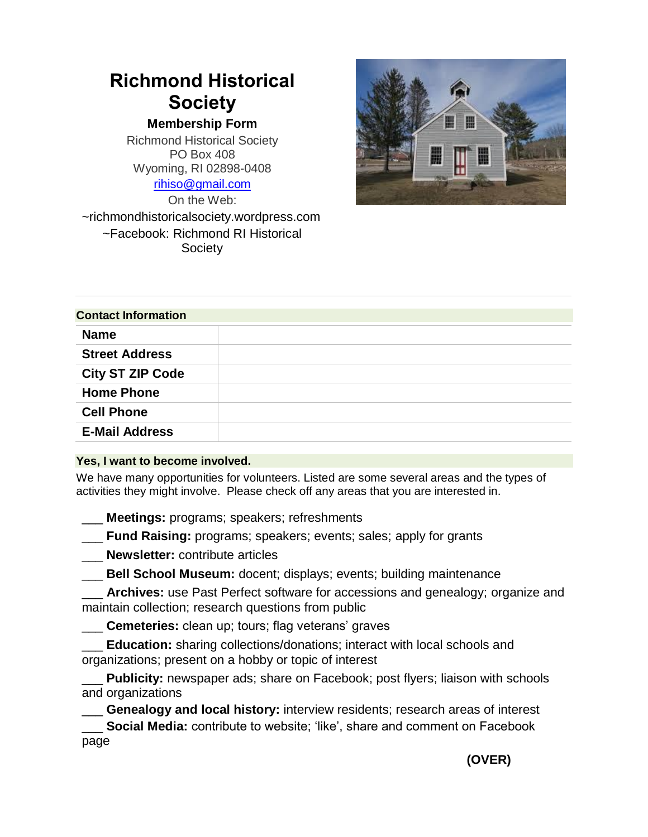## **Richmond Historical Society**

**Membership Form**

Richmond Historical Society PO Box 408 Wyoming, RI 02898-0408 [rihiso@gmail.com](mailto:rihiso@gmail.com)

On the Web: ~richmondhistoricalsociety.wordpress.com ~Facebook: Richmond RI Historical **Society** 



| <b>Contact Information</b> |  |
|----------------------------|--|
| <b>Name</b>                |  |
| <b>Street Address</b>      |  |
| <b>City ST ZIP Code</b>    |  |
| <b>Home Phone</b>          |  |
| <b>Cell Phone</b>          |  |
| <b>E-Mail Address</b>      |  |

## **Yes, I want to become involved.**

We have many opportunities for volunteers. Listed are some several areas and the types of activities they might involve. Please check off any areas that you are interested in.

\_\_\_ **Meetings:** programs; speakers; refreshments

\_\_\_ **Fund Raising:** programs; speakers; events; sales; apply for grants

\_\_\_ **Newsletter:** contribute articles

\_\_\_ **Bell School Museum:** docent; displays; events; building maintenance

Archives: use Past Perfect software for accessions and genealogy; organize and maintain collection; research questions from public

\_\_\_ **Cemeteries:** clean up; tours; flag veterans' graves

**Education:** sharing collections/donations; interact with local schools and organizations; present on a hobby or topic of interest

Publicity: newspaper ads; share on Facebook; post flyers; liaison with schools and organizations

\_\_\_ **Genealogy and local history:** interview residents; research areas of interest

**Social Media:** contribute to website; 'like', share and comment on Facebook page

 **(OVER)**